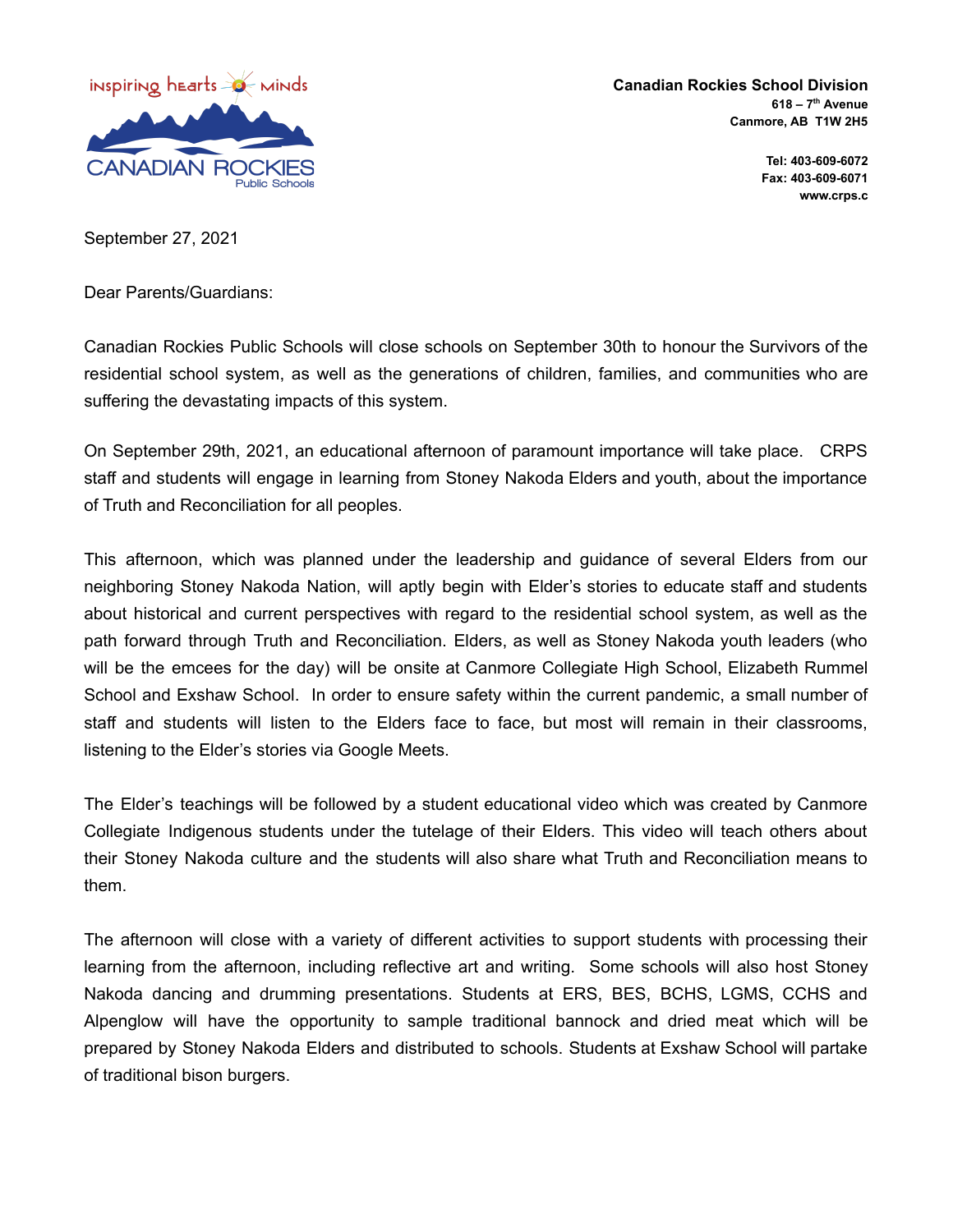

**Canadian Rockies School Division 618 – 7 th Avenue Canmore, AB T1W 2H5**

> **Tel: 403-609-6072 Fax: 403-609-6071 www.crps.c**

September 27, 2021

Dear Parents/Guardians:

Canadian Rockies Public Schools will close schools on September 30th to honour the Survivors of the residential school system, as well as the generations of children, families, and communities who are suffering the devastating impacts of this system.

On September 29th, 2021, an educational afternoon of paramount importance will take place. CRPS staff and students will engage in learning from Stoney Nakoda Elders and youth, about the importance of Truth and Reconciliation for all peoples.

This afternoon, which was planned under the leadership and guidance of several Elders from our neighboring Stoney Nakoda Nation, will aptly begin with Elder's stories to educate staff and students about historical and current perspectives with regard to the residential school system, as well as the path forward through Truth and Reconciliation. Elders, as well as Stoney Nakoda youth leaders (who will be the emcees for the day) will be onsite at Canmore Collegiate High School, Elizabeth Rummel School and Exshaw School. In order to ensure safety within the current pandemic, a small number of staff and students will listen to the Elders face to face, but most will remain in their classrooms, listening to the Elder's stories via Google Meets.

The Elder's teachings will be followed by a student educational video which was created by Canmore Collegiate Indigenous students under the tutelage of their Elders. This video will teach others about their Stoney Nakoda culture and the students will also share what Truth and Reconciliation means to them.

The afternoon will close with a variety of different activities to support students with processing their learning from the afternoon, including reflective art and writing. Some schools will also host Stoney Nakoda dancing and drumming presentations. Students at ERS, BES, BCHS, LGMS, CCHS and Alpenglow will have the opportunity to sample traditional bannock and dried meat which will be prepared by Stoney Nakoda Elders and distributed to schools. Students at Exshaw School will partake of traditional bison burgers.